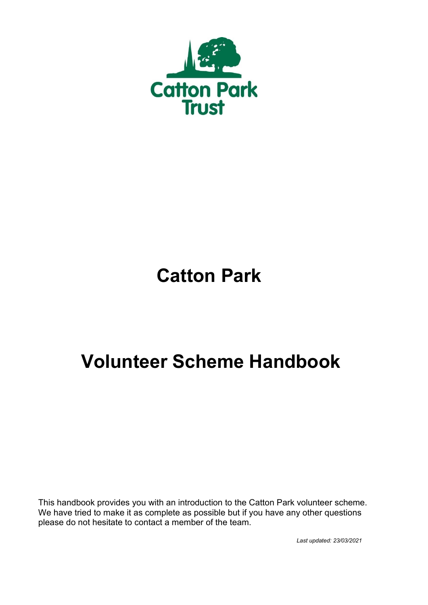

# **Catton Park**

# **Volunteer Scheme Handbook**

This handbook provides you with an introduction to the Catton Park volunteer scheme. We have tried to make it as complete as possible but if you have any other questions please do not hesitate to contact a member of the team.

*Last updated: 23/03/2021*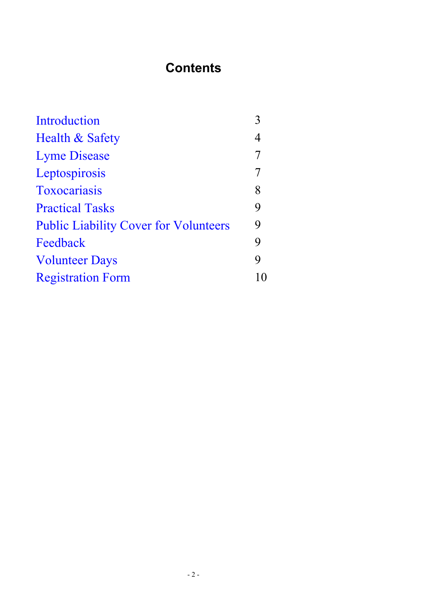# **Contents**

<span id="page-1-0"></span>

| Introduction                                 | 3  |
|----------------------------------------------|----|
| Health & Safety                              | 4  |
| <b>Lyme Disease</b>                          | 7  |
| Leptospirosis                                | 7  |
| Toxocariasis                                 | 8  |
| <b>Practical Tasks</b>                       | 9  |
| <b>Public Liability Cover for Volunteers</b> | 9  |
| Feedback                                     | 9  |
| <b>Volunteer Days</b>                        | 9  |
| <b>Registration Form</b>                     | 10 |
|                                              |    |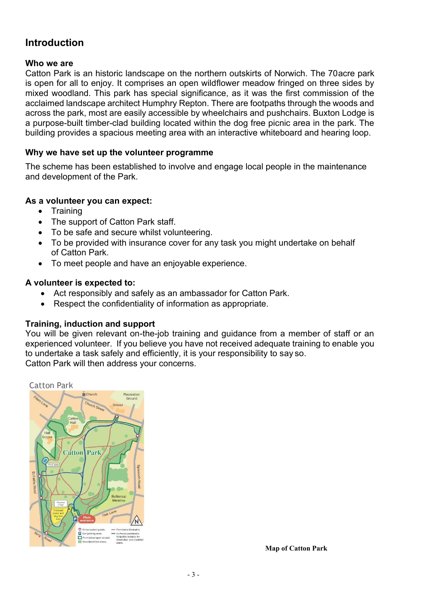## **Introduction**

#### **Who we are**

Catton Park is an historic landscape on the northern outskirts of Norwich. The 70acre park is open for all to enjoy. It comprises an open wildflower meadow fringed on three sides by mixed woodland. This park has special significance, as it was the first commission of the acclaimed landscape architect Humphry Repton. There are footpaths through the woods and across the park, most are easily accessible by wheelchairs and pushchairs. Buxton Lodge is a purpose-built timber-clad building located within the dog free picnic area in the park. The building provides a spacious meeting area with an interactive whiteboard and hearing loop.

#### **Why we have set up the volunteer programme**

The scheme has been established to involve and engage local people in the maintenance and development of the Park.

#### **As a volunteer you can expect:**

- Training
- The support of Catton Park staff.
- To be safe and secure whilst volunteering.
- To be provided with insurance cover for any task you might undertake on behalf of Catton Park.
- To meet people and have an enjoyable experience.

#### **A volunteer is expected to:**

- Act responsibly and safely as an ambassador for Catton Park.
- Respect the confidentiality of information as appropriate.

#### **Training, induction and support**

You will be given relevant on-the-job training and guidance from a member of staff or an experienced volunteer. If you believe you have not received adequate training to enable you to undertake a task safely and efficiently, it is your responsibility to say so. Catton Park will then address your concerns.



**Map of Catton Park**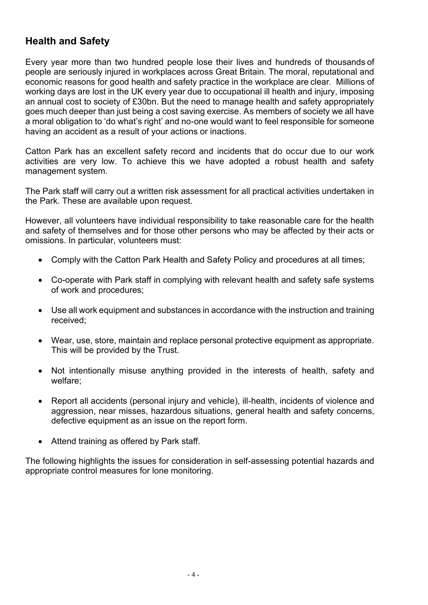# **Health and Safety**

Every year more than two hundred people lose their lives and hundreds of thousands of people are seriously injured in workplaces across Great Britain. The moral, reputational and economic reasons for good health and safety practice in the workplace are clear. Millions of working days are lost in the UK every year due to occupational ill health and injury, imposing an annual cost to society of £30bn. But the need to manage health and safety appropriately goes much deeper than just being a cost saving exercise. As members of society we all have a moral obligation to 'do what's right' and no-one would want to feel responsible for someone having an accident as a result of your actions or inactions.

Catton Park has an excellent safety record and incidents that do occur due to our work activities are very low. To achieve this we have adopted a robust health and safety management system.

The Park staff will carry out a written risk assessment for all practical activities undertaken in the Park. These are available upon request.

However, all volunteers have individual responsibility to take reasonable care for the health and safety of themselves and for those other persons who may be affected by their acts or omissions. In particular, volunteers must:

- Comply with the Catton Park Health and Safety Policy and procedures at all times;
- Co-operate with Park staff in complying with relevant health and safety safe systems of work and procedures;
- Use all work equipment and substances in accordance with the instruction and training received;
- Wear, use, store, maintain and replace personal protective equipment as appropriate. This will be provided by the Trust.
- Not intentionally misuse anything provided in the interests of health, safety and welfare;
- Report all accidents (personal injury and vehicle), ill-health, incidents of violence and aggression, near misses, hazardous situations, general health and safety concerns, defective equipment as an issue on the report form.
- Attend training as offered by Park staff.

The following highlights the issues for consideration in self-assessing potential hazards and appropriate control measures for lone monitoring.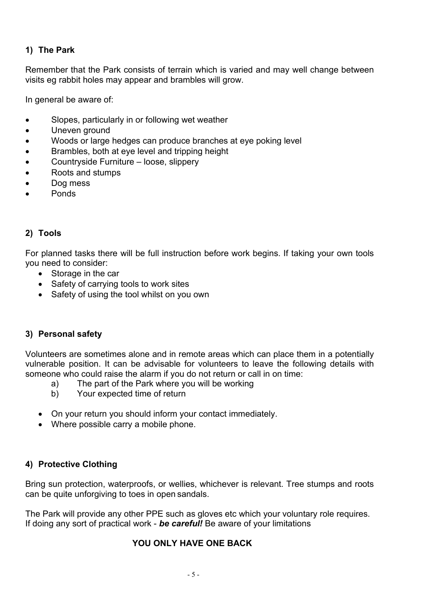#### **1) The Park**

Remember that the Park consists of terrain which is varied and may well change between visits eg rabbit holes may appear and brambles will grow.

In general be aware of:

- Slopes, particularly in or following wet weather
- Uneven ground
- Woods or large hedges can produce branches at eye poking level
- Brambles, both at eye level and tripping height
- Countryside Furniture loose, slippery
- Roots and stumps
- Dog mess
- Ponds

#### **2) Tools**

For planned tasks there will be full instruction before work begins. If taking your own tools you need to consider:

- Storage in the car
- Safety of carrying tools to work sites
- Safety of using the tool whilst on you own

#### **3) Personal safety**

Volunteers are sometimes alone and in remote areas which can place them in a potentially vulnerable position. It can be advisable for volunteers to leave the following details with someone who could raise the alarm if you do not return or call in on time:

- a) The part of the Park where you will be working
- b) Your expected time of return
- On your return you should inform your contact immediately.
- Where possible carry a mobile phone.

#### **4) Protective Clothing**

Bring sun protection, waterproofs, or wellies, whichever is relevant. Tree stumps and roots can be quite unforgiving to toes in open sandals.

The Park will provide any other PPE such as gloves etc which your voluntary role requires. If doing any sort of practical work - *be careful!* Be aware of your limitations

#### **YOU ONLY HAVE ONE BACK**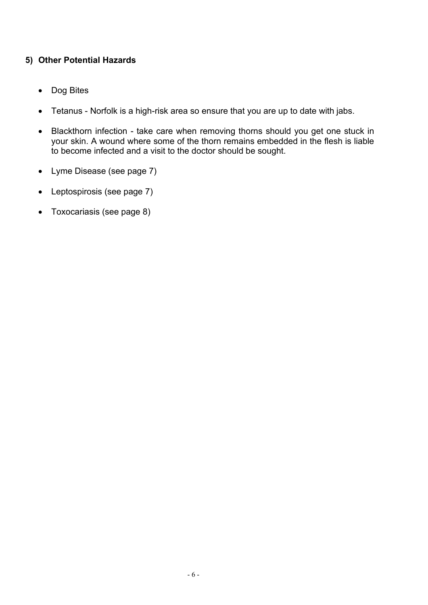#### **5) Other Potential Hazards**

- Dog Bites
- Tetanus Norfolk is a high-risk area so ensure that you are up to date with jabs.
- Blackthorn infection take care when removing thorns should you get one stuck in your skin. A wound where some of the thorn remains embedded in the flesh is liable to become infected and a visit to the doctor should be sought.
- Lyme Disease (see page 7)
- Leptospirosis (see page 7)
- Toxocariasis (see page 8)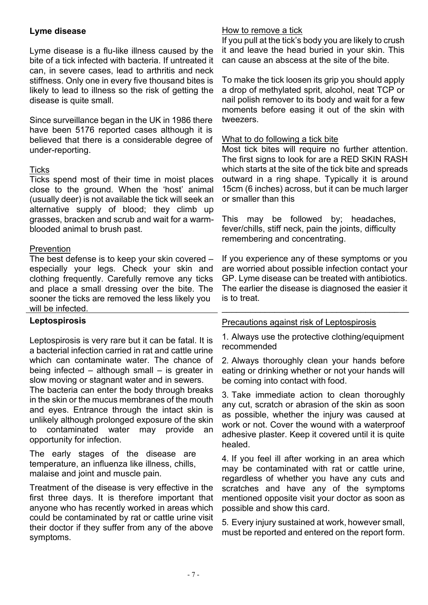#### **Lyme disease**

Lyme disease is a flu-like illness caused by the bite of a tick infected with bacteria. If untreated it can, in severe cases, lead to arthritis and neck stiffness. Only one in every five thousand bites is likely to lead to illness so the risk of getting the disease is quite small.

Since surveillance began in the UK in 1986 there have been 5176 reported cases although it is believed that there is a considerable degree of under-reporting.

#### **Ticks**

Ticks spend most of their time in moist places close to the ground. When the 'host' animal (usually deer) is not available the tick will seek an alternative supply of blood; they climb up grasses, bracken and scrub and wait for a warmblooded animal to brush past.

#### **Prevention**

The best defense is to keep your skin covered – especially your legs. Check your skin and clothing frequently. Carefully remove any ticks and place a small dressing over the bite. The sooner the ticks are removed the less likely you will be infected.

#### **Leptospirosis**

Leptospirosis is very rare but it can be fatal. It is a bacterial infection carried in rat and cattle urine which can contaminate water. The chance of being infected – although small – is greater in slow moving or stagnant water and in sewers.

The bacteria can enter the body through breaks in the skin or the mucus membranes of the mouth and eyes. Entrance through the intact skin is unlikely although prolonged exposure of the skin to contaminated water may provide an opportunity for infection.

The early stages of the disease are temperature, an influenza like illness, chills, malaise and joint and muscle pain.

Treatment of the disease is very effective in the first three days. It is therefore important that anyone who has recently worked in areas which could be contaminated by rat or cattle urine visit their doctor if they suffer from any of the above symptoms.

#### How to remove a tick

If you pull at the tick's body you are likely to crush it and leave the head buried in your skin. This can cause an abscess at the site of the bite.

To make the tick loosen its grip you should apply a drop of methylated sprit, alcohol, neat TCP or nail polish remover to its body and wait for a few moments before easing it out of the skin with tweezers.

#### What to do following a tick bite

Most tick bites will require no further attention. The first signs to look for are a RED SKIN RASH which starts at the site of the tick bite and spreads outward in a ring shape. Typically it is around 15cm (6 inches) across, but it can be much larger or smaller than this

This may be followed by; headaches, fever/chills, stiff neck, pain the joints, difficulty remembering and concentrating.

If you experience any of these symptoms or you are worried about possible infection contact your GP. Lyme disease can be treated with antibiotics. The earlier the disease is diagnosed the easier it is to treat.

#### Precautions against risk of Leptospirosis

1. Always use the protective clothing/equipment recommended

\_\_\_\_\_\_\_\_\_\_\_\_\_\_\_\_\_\_\_\_\_\_\_\_\_\_\_\_\_\_\_\_\_\_\_\_\_\_\_

2. Always thoroughly clean your hands before eating or drinking whether or not your hands will be coming into contact with food.

3. Take immediate action to clean thoroughly any cut, scratch or abrasion of the skin as soon as possible, whether the injury was caused at work or not. Cover the wound with a waterproof adhesive plaster. Keep it covered until it is quite healed.

4. If you feel ill after working in an area which may be contaminated with rat or cattle urine, regardless of whether you have any cuts and scratches and have any of the symptoms mentioned opposite visit your doctor as soon as possible and show this card.

5. Every injury sustained at work, however small, must be reported and entered on the report form.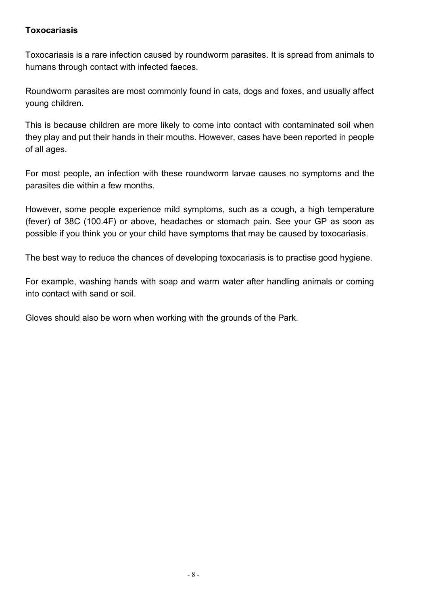#### **Toxocariasis**

Toxocariasis is a rare infection caused by roundworm parasites. It is spread from animals to humans through contact with infected faeces.

Roundworm parasites are most commonly found in cats, dogs and foxes, and usually affect young children.

This is because children are more likely to come into contact with contaminated soil when they play and put their hands in their mouths. However, cases have been reported in people of all ages.

For most people, an infection with these roundworm larvae causes no symptoms and the parasites die within a few months.

However, some people experience mild symptoms, such as a [cough,](http://www.nhs.uk/conditions/cough/pages/introduction.aspx) a high temperature (fever) of 38C (100.4F) or above, [headaches o](http://www.nhs.uk/conditions/headache/Pages/Introduction.aspx)r [stomach pain.](http://www.nhs.uk/conditions/stomach-ache-abdominal-pain/Pages/Introduction.aspx) See your GP as soon as possible if you think you or your child have symptoms that may be caused by toxocariasis.

The best way to reduce the chances of developing toxocariasis is to practise good hygiene.

For example, washing hands with soap and warm water after handling animals or coming into contact with sand or soil.

Gloves should also be worn when working with the grounds of the Park.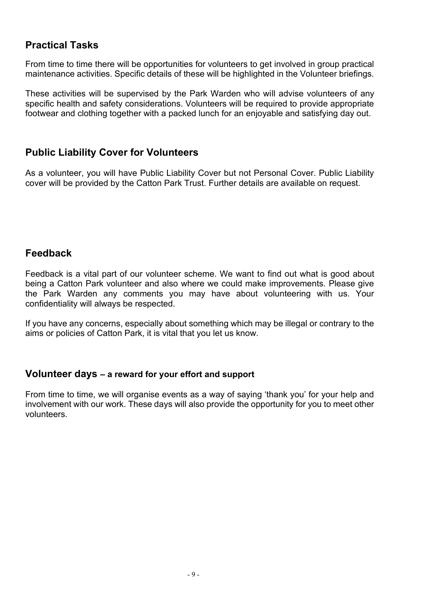# **Practical Tasks**

From time to time there will be opportunities for volunteers to get involved in group practical maintenance activities. Specific details of these will be highlighted in the Volunteer briefings.

These activities will be supervised by the Park Warden who will advise volunteers of any specific health and safety considerations. Volunteers will be required to provide appropriate footwear and clothing together with a packed lunch for an enjoyable and satisfying day out.

### **Public Liability Cover for Volunteers**

As a volunteer, you will have Public Liability Cover but not Personal Cover. Public Liability cover will be provided by the Catton Park Trust. Further details are available on request.

### **Feedback**

Feedback is a vital part of our volunteer scheme. We want to find out what is good about being a Catton Park volunteer and also where we could make improvements. Please give the Park Warden any comments you may have about volunteering with us. Your confidentiality will always be respected.

If you have any concerns, especially about something which may be illegal or contrary to the aims or policies of Catton Park, it is vital that you let us know.

#### **Volunteer days – a reward for your effort and support**

From time to time, we will organise events as a way of saying 'thank you' for your help and involvement with our work. These days will also provide the opportunity for you to meet other volunteers.